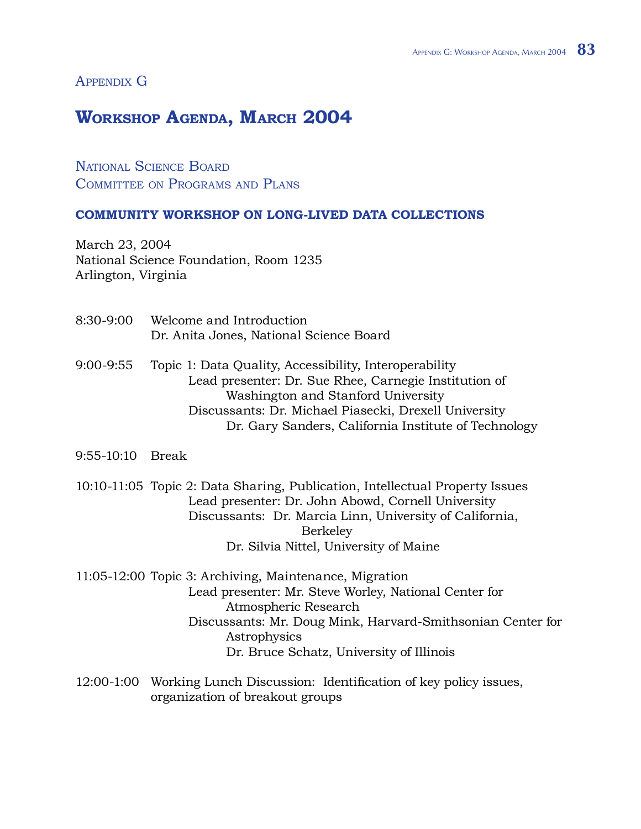## APPENDIX G

## **Workshop Agenda, March 2004**

NATIONAL SCIENCE BOARD COMMITTEE ON PROGRAMS AND PLANS

## **Community Workshop on Long-Lived Data Collections**

March 23, 2004 National Science Foundation, Room 1235 Arlington, Virginia

- 8:30-9:00 Welcome and Introduction Dr. Anita Jones, National Science Board
- 9:00-9:55 Topic 1: Data Quality, Accessibility, Interoperability Lead presenter: Dr. Sue Rhee, Carnegie Institution of Washington and Stanford University Discussants: Dr. Michael Piasecki, Drexell University Dr. Gary Sanders, California Institute of Technology
- 9:55-10:10 Break
- 10:10-11:05 Topic 2: Data Sharing, Publication, Intellectual Property Issues Lead presenter: Dr. John Abowd, Cornell University Discussants: Dr. Marcia Linn, University of California, Berkeley Dr. Silvia Nittel, University of Maine
- 11:05-12:00 Topic 3: Archiving, Maintenance, Migration Lead presenter: Mr. Steve Worley, National Center for Atmospheric Research Discussants: Mr. Doug Mink, Harvard-Smithsonian Center for Astrophysics Dr. Bruce Schatz, University of Illinois
- 12:00-1:00 Working Lunch Discussion: Identification of key policy issues, organization of breakout groups